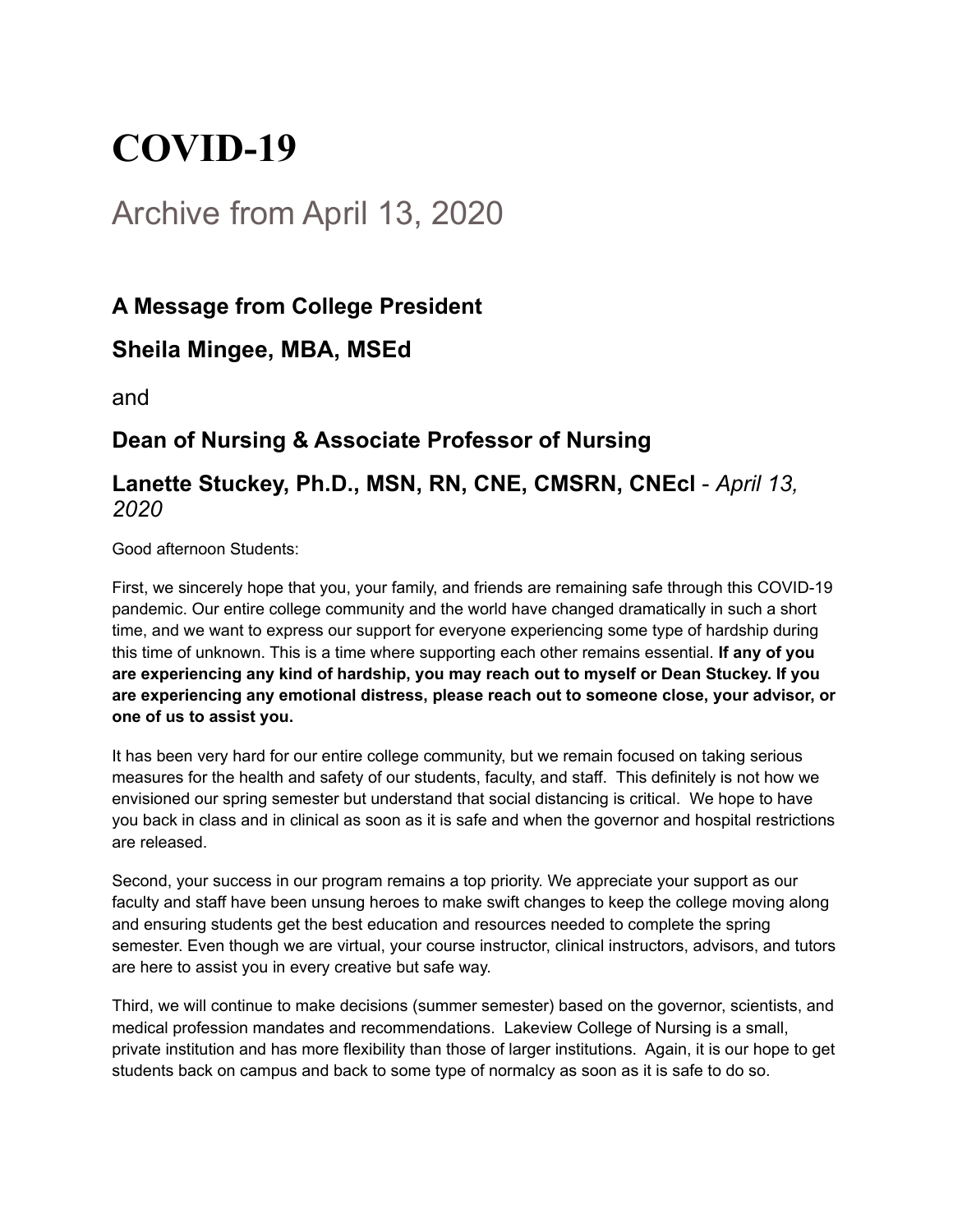# **COVID-19**

## Archive from April 13, 2020

### **A Message from College President**

#### **Sheila Mingee, MBA, MSEd**

and

#### **Dean of Nursing & Associate Professor of Nursing**

#### **Lanette Stuckey, Ph.D., MSN, RN, CNE, CMSRN, CNEcl** - *April 13, 2020*

Good afternoon Students:

First, we sincerely hope that you, your family, and friends are remaining safe through this COVID-19 pandemic. Our entire college community and the world have changed dramatically in such a short time, and we want to express our support for everyone experiencing some type of hardship during this time of unknown. This is a time where supporting each other remains essential. **If any of you are experiencing any kind of hardship, you may reach out to myself or Dean Stuckey. If you are experiencing any emotional distress, please reach out to someone close, your advisor, or one of us to assist you.**

It has been very hard for our entire college community, but we remain focused on taking serious measures for the health and safety of our students, faculty, and staff. This definitely is not how we envisioned our spring semester but understand that social distancing is critical. We hope to have you back in class and in clinical as soon as it is safe and when the governor and hospital restrictions are released.

Second, your success in our program remains a top priority. We appreciate your support as our faculty and staff have been unsung heroes to make swift changes to keep the college moving along and ensuring students get the best education and resources needed to complete the spring semester. Even though we are virtual, your course instructor, clinical instructors, advisors, and tutors are here to assist you in every creative but safe way.

Third, we will continue to make decisions (summer semester) based on the governor, scientists, and medical profession mandates and recommendations. Lakeview College of Nursing is a small, private institution and has more flexibility than those of larger institutions. Again, it is our hope to get students back on campus and back to some type of normalcy as soon as it is safe to do so.